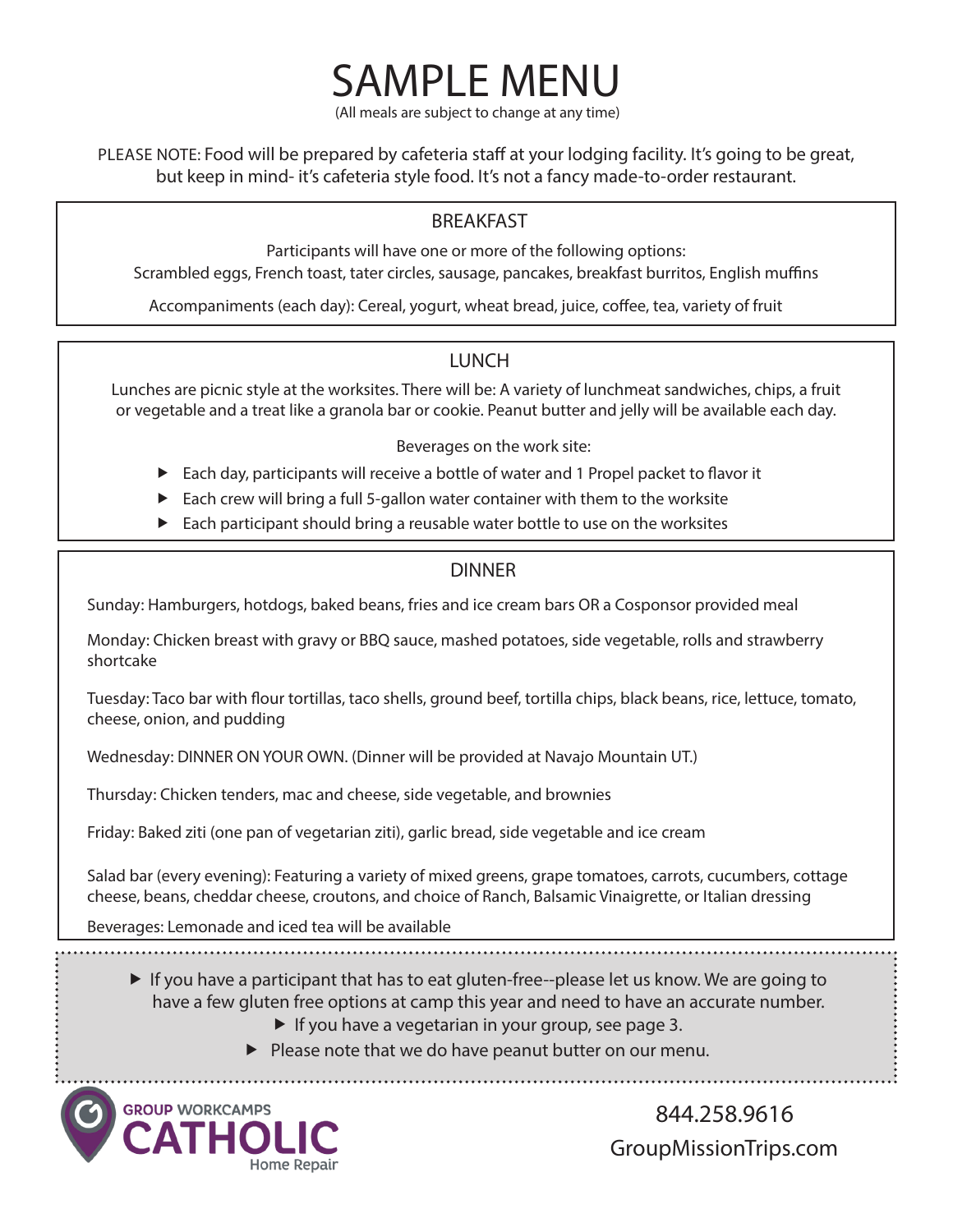(All meals are subject to change at any time)

SAMPLE MENU

PLEASE NOTE: Food will be prepared by cafeteria staff at your lodging facility. It's going to be great, but keep in mind- it's cafeteria style food. It's not a fancy made-to-order restaurant.

## BREAKFAST

Participants will have one or more of the following options: Scrambled eggs, French toast, tater circles, sausage, pancakes, breakfast burritos, English muffins

Accompaniments (each day): Cereal, yogurt, wheat bread, juice, coffee, tea, variety of fruit

#### LUNCH

Lunches are picnic style at the worksites. There will be: A variety of lunchmeat sandwiches, chips, a fruit or vegetable and a treat like a granola bar or cookie. Peanut butter and jelly will be available each day.

Beverages on the work site:

- $\blacktriangleright$  Each day, participants will receive a bottle of water and 1 Propel packet to flavor it
- $\blacktriangleright$  Each crew will bring a full 5-gallon water container with them to the worksite
- $\blacktriangleright$  Each participant should bring a reusable water bottle to use on the worksites

## DINNER

Sunday: Hamburgers, hotdogs, baked beans, fries and ice cream bars OR a Cosponsor provided meal

Monday: Chicken breast with gravy or BBQ sauce, mashed potatoes, side vegetable, rolls and strawberry shortcake

Tuesday: Taco bar with flour tortillas, taco shells, ground beef, tortilla chips, black beans, rice, lettuce, tomato, cheese, onion, and pudding

Wednesday: DINNER ON YOUR OWN. (Dinner will be provided at Navajo Mountain UT.)

Thursday: Chicken tenders, mac and cheese, side vegetable, and brownies

Friday: Baked ziti (one pan of vegetarian ziti), garlic bread, side vegetable and ice cream

Salad bar (every evening): Featuring a variety of mixed greens, grape tomatoes, carrots, cucumbers, cottage cheese, beans, cheddar cheese, croutons, and choice of Ranch, Balsamic Vinaigrette, or Italian dressing

Beverages: Lemonade and iced tea will be available

- $\blacktriangleright$  If you have a participant that has to eat gluten-free--please let us know. We are going to have a few gluten free options at camp this year and need to have an accurate number.
	- $\blacktriangleright$  If you have a vegetarian in your group, see page 3.
	- $\blacktriangleright$  Please note that we do have peanut butter on our menu.



 844.258.9616 GroupMissionTrips.com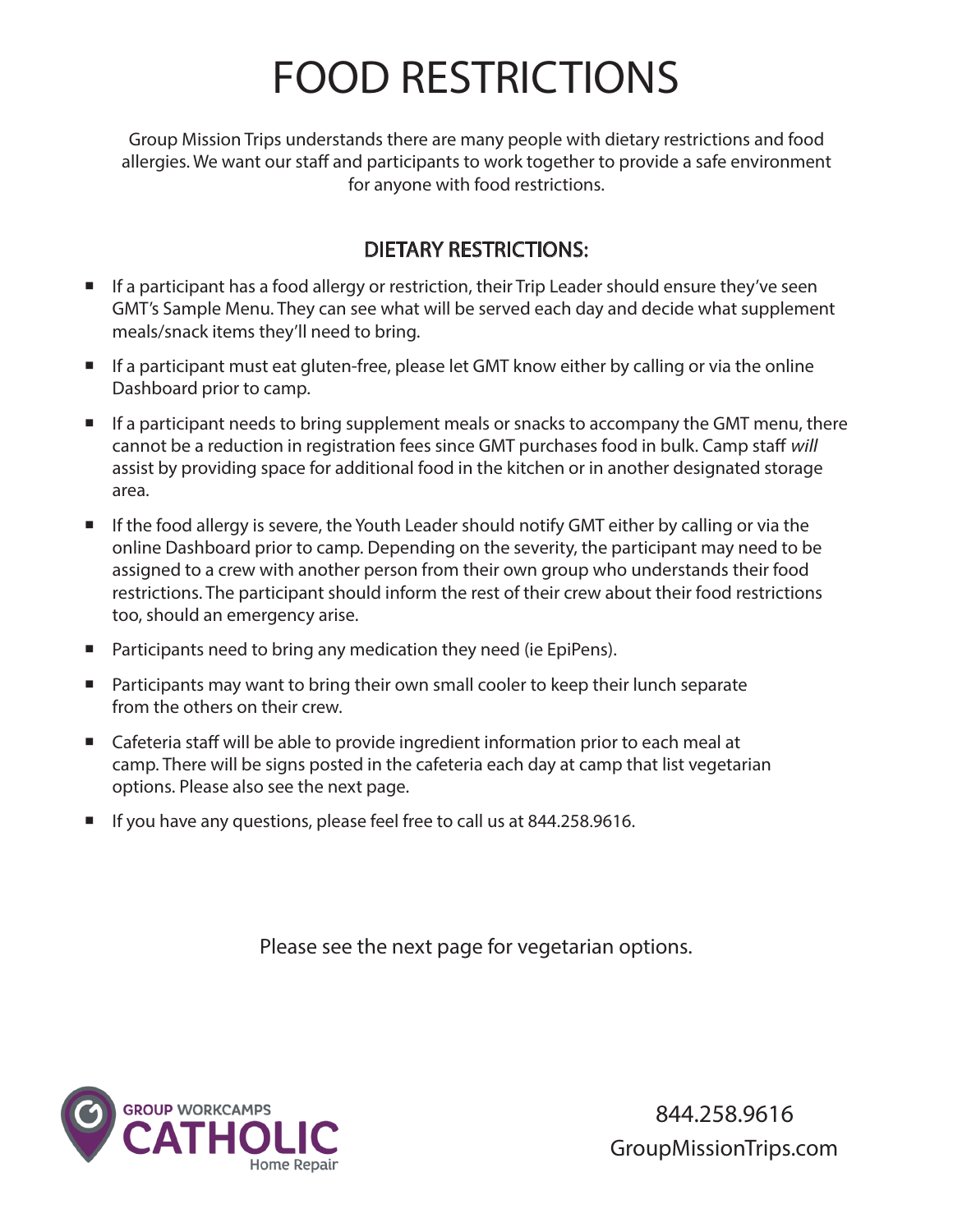# FOOD RESTRICTIONS

Group Mission Trips understands there are many people with dietary restrictions and food allergies. We want our staff and participants to work together to provide a safe environment for anyone with food restrictions.

## DIETARY RESTRICTIONS:

- $\blacksquare$  If a participant has a food allergy or restriction, their Trip Leader should ensure they've seen GMT's Sample Menu. They can see what will be served each day and decide what supplement meals/snack items they'll need to bring.
- If a participant must eat gluten-free, please let GMT know either by calling or via the online Dashboard prior to camp.
- If a participant needs to bring supplement meals or snacks to accompany the GMT menu, there cannot be a reduction in registration fees since GMT purchases food in bulk. Camp staff will assist by providing space for additional food in the kitchen or in another designated storage area.
- If the food allergy is severe, the Youth Leader should notify GMT either by calling or via the online Dashboard prior to camp. Depending on the severity, the participant may need to be assigned to a crew with another person from their own group who understands their food restrictions. The participant should inform the rest of their crew about their food restrictions too, should an emergency arise.
- **Participants need to bring any medication they need (ie EpiPens).**
- **Participants may want to bring their own small cooler to keep their lunch separate** from the others on their crew.
- Cafeteria staff will be able to provide ingredient information prior to each meal at camp. There will be signs posted in the cafeteria each day at camp that list vegetarian options. Please also see the next page.
- If you have any questions, please feel free to call us at 844.258.9616.

Please see the next page for vegetarian options.



 844.258.9616 GroupMissionTrips.com